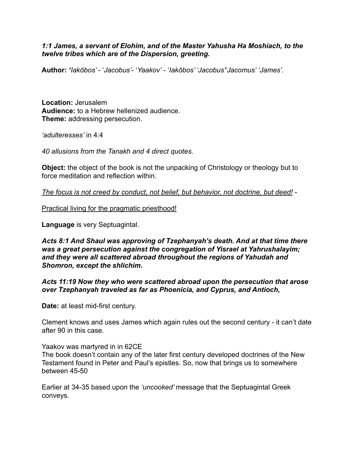## *1:1 James, a servant of Elohim, and of the Master Yahusha Ha Moshiach, to the twelve tribes which are of the Dispersion, greeting.*

**Author:** *'Iakōbos'* - '*Jacobus'*- '*Yaakov'* - '*Iakōbos' 'Jacobus''Jacomus' 'James'.*

**Location:** Jerusalem **Audience:** to a Hebrew hellenized audience. **Theme:** addressing persecution.

*'adulteresses'* in 4:4

*40 allusions from the Tanakh and 4 direct quotes.* 

**Object:** the object of the book is not the unpacking of Christology or theology but to force meditation and reflection within.

*The focus is not creed by conduct, not belief, but behavior, not doctrine, but deed! -* 

Practical living for the pragmatic priesthood!

**Language** is very Septuagintal.

*Acts 8:1 And Shaul was approving of Tzephanyah's death. And at that time there was a great persecution against the congregation of Yisrael at Yahrushalayim; and they were all scattered abroad throughout the regions of Yahudah and Shomron, except the shlichim.* 

*Acts 11:19 Now they who were scattered abroad upon the persecution that arose over Tzephanyah traveled as far as Phoenicia, and Cyprus, and Antioch,* 

**Date:** at least mid-first century.

Clement knows and uses James which again rules out the second century - it can't date after 90 in this case.

Yaakov was martyred in in 62CE

The book doesn't contain any of the later first century developed doctrines of the New Testament found in Peter and Paul's epistles. So, now that brings us to somewhere between 45-50

Earlier at 34-35 based upon the *'uncooked'* message that the Septuagintal Greek conveys.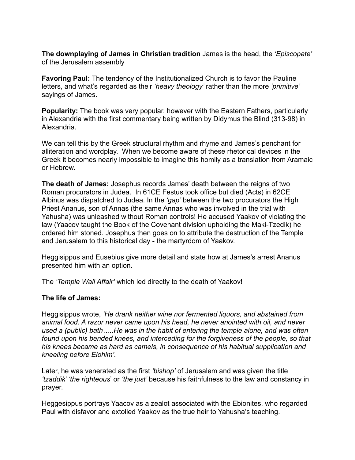**The downplaying of James in Christian tradition** James is the head, the *'Episcopate'* of the Jerusalem assembly

**Favoring Paul:** The tendency of the Institutionalized Church is to favor the Pauline letters, and what's regarded as their *'heavy theology'* rather than the more *'primitive'*  sayings of James.

**Popularity:** The book was very popular, however with the Eastern Fathers, particularly in Alexandria with the first commentary being written by Didymus the Blind (313-98) in Alexandria.

We can tell this by the Greek structural rhythm and rhyme and James's penchant for alliteration and wordplay. When we become aware of these rhetorical devices in the Greek it becomes nearly impossible to imagine this homily as a translation from Aramaic or Hebrew.

**The death of James:** Josephus records James' death between the reigns of two Roman procurators in Judea. In 61CE Festus took office but died (Acts) in 62CE Albinus was dispatched to Judea. In the *'gap'* between the two procurators the High Priest Ananus, son of Annas (the same Annas who was involved in the trial with Yahusha) was unleashed without Roman controls! He accused Yaakov of violating the law (Yaacov taught the Book of the Covenant division upholding the Maki-Tzedik) he ordered him stoned. Josephus then goes on to attribute the destruction of the Temple and Jerusalem to this historical day - the martyrdom of Yaakov.

Heggisippus and Eusebius give more detail and state how at James's arrest Ananus presented him with an option.

The *'Temple Wall Affair'* which led directly to the death of Yaakov!

## **The life of James:**

Heggisippus wrote, *'He drank neither wine nor fermented liquors, and abstained from animal food. A razor never came upon his head, he never anointed with oil, and never used a (public) bath…..He was in the habit of entering the temple alone, and was often found upon his bended knees, and interceding for the forgiveness of the people, so that his knees became as hard as camels, in consequence of his habitual supplication and kneeling before Elohim'.*

Later, he was venerated as the first *'bishop'* of Jerusalem and was given the title *'tzaddik' 'the righteous*' or *'the just'* because his faithfulness to the law and constancy in prayer.

Heggesippus portrays Yaacov as a zealot associated with the Ebionites, who regarded Paul with disfavor and extolled Yaakov as the true heir to Yahusha's teaching.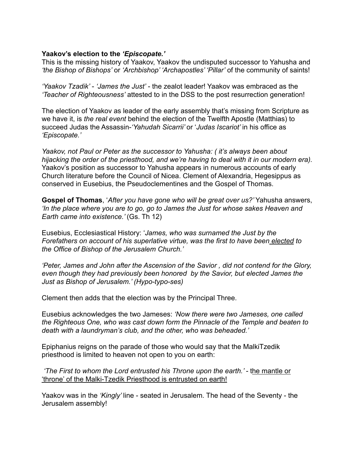## **Yaakov's election to the** *'Episcopate.'*

This is the missing history of Yaakov, Yaakov the undisputed successor to Yahusha and *'the Bishop of Bishops'* or *'Archbishop' 'Archapostles' 'Pillar'* of the community of saints!

*'Yaakov Tzadik'* - *'James the Just'* - the zealot leader! Yaakov was embraced as the *'Teacher of Righteousness'* attested to in the DSS to the post resurrection generation!

The election of Yaakov as leader of the early assembly that's missing from Scripture as we have it, is *the real event* behind the election of the Twelfth Apostle (Matthias) to succeed Judas the Assassin-*'Yahudah Sicarrii'* or '*Judas Iscariot'* in his office as *'Episcopate.'* 

*Yaakov, not Paul or Peter as the successor to Yahusha: ( it's always been about hijacking the order of the priesthood, and we're having to deal with it in our modern era).*  Yaakov's position as successor to Yahusha appears in numerous accounts of early Church literature before the Council of Nicea. Clement of Alexandria, Hegesippus as conserved in Eusebius, the Pseudoclementines and the Gospel of Thomas.

**Gospel of Thomas**, '*After you have gone who will be great over us?'* Yahusha answers, *'In the place where you are to go, go to James the Just for whose sakes Heaven and Earth came into existence.'* (Gs. Th 12)

Eusebius, Ecclesiastical History: '*James, who was surnamed the Just by the Forefathers on account of his superlative virtue, was the first to have been elected to the Office of Bishop of the Jerusalem Church.'* 

*'Peter, James and John after the Ascension of the Savior , did not contend for the Glory, even though they had previously been honored by the Savior, but elected James the Just as Bishop of Jerusalem.' (Hypo-typo-ses)* 

Clement then adds that the election was by the Principal Three.

Eusebius acknowledges the two Jameses: *'Now there were two Jameses, one called the Righteous One, who was cast down form the Pinnacle of the Temple and beaten to death with a laundryman's club, and the other, who was beheaded.'* 

Epiphanius reigns on the parade of those who would say that the MalkiTzedik priesthood is limited to heaven not open to you on earth:

*'The First to whom the Lord entrusted his Throne upon the earth.'* - the mantle or 'throne' of the Malki-Tzedik Priesthood is entrusted on earth!

Yaakov was in the *'Kingly'* line - seated in Jerusalem. The head of the Seventy - the Jerusalem assembly!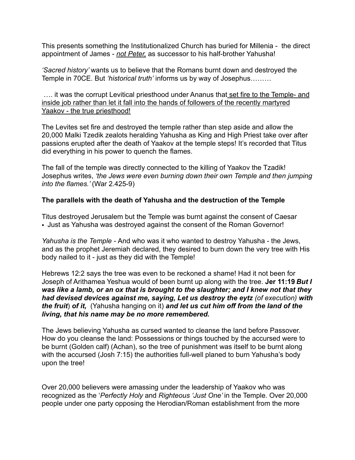This presents something the Institutionalized Church has buried for Millenia - the direct appointment of James - *not Peter,* as successor to his half-brother Yahusha!

*'Sacred history'* wants us to believe that the Romans burnt down and destroyed the Temple in 70CE. But *'historical truth'* informs us by way of Josephus………

.... it was the corrupt Levitical priesthood under Ananus that set fire to the Temple- and inside job rather than let it fall into the hands of followers of the recently martyred Yaakov - the true priesthood!

The Levites set fire and destroyed the temple rather than step aside and allow the 20,000 Malki Tzedik zealots heralding Yahusha as King and High Priest take over after passions erupted after the death of Yaakov at the temple steps! It's recorded that Titus did everything in his power to quench the flames.

The fall of the temple was directly connected to the killing of Yaakov the Tzadik! Josephus writes, *'the Jews were even burning down their own Temple and then jumping into the flames.'* (War 2.425-9)

## **The parallels with the death of Yahusha and the destruction of the Temple**

Titus destroyed Jerusalem but the Temple was burnt against the consent of Caesar • Just as Yahusha was destroyed against the consent of the Roman Governor!

*Yahusha is the Temple -* And who was it who wanted to destroy Yahusha - the Jews, and as the prophet Jeremiah declared, they desired to burn down the very tree with His body nailed to it - just as they did with the Temple!

Hebrews 12:2 says the tree was even to be reckoned a shame! Had it not been for Joseph of Arithamea Yeshua would of been burnt up along with the tree. **Jer 11:19** *But I was like a lamb, or an ox that is brought to the slaughter; and I knew not that they had devised devices against me, saying, Let us destroy the eytz (of execution) with the fruit*) *of it,* (Yahusha hanging on it) *and let us cut him off from the land of the living, that his name may be no more remembered.* 

The Jews believing Yahusha as cursed wanted to cleanse the land before Passover. How do you cleanse the land: Possessions or things touched by the accursed were to be burnt (Golden calf) (Achan), so the tree of punishment was itself to be burnt along with the accursed (Josh 7:15) the authorities full-well planed to burn Yahusha's body upon the tree!

Over 20,000 believers were amassing under the leadership of Yaakov who was recognized as the '*Perfectly Holy* and *Righteous 'Just One'* in the Temple. Over 20,000 people under one party opposing the Herodian/Roman establishment from the more